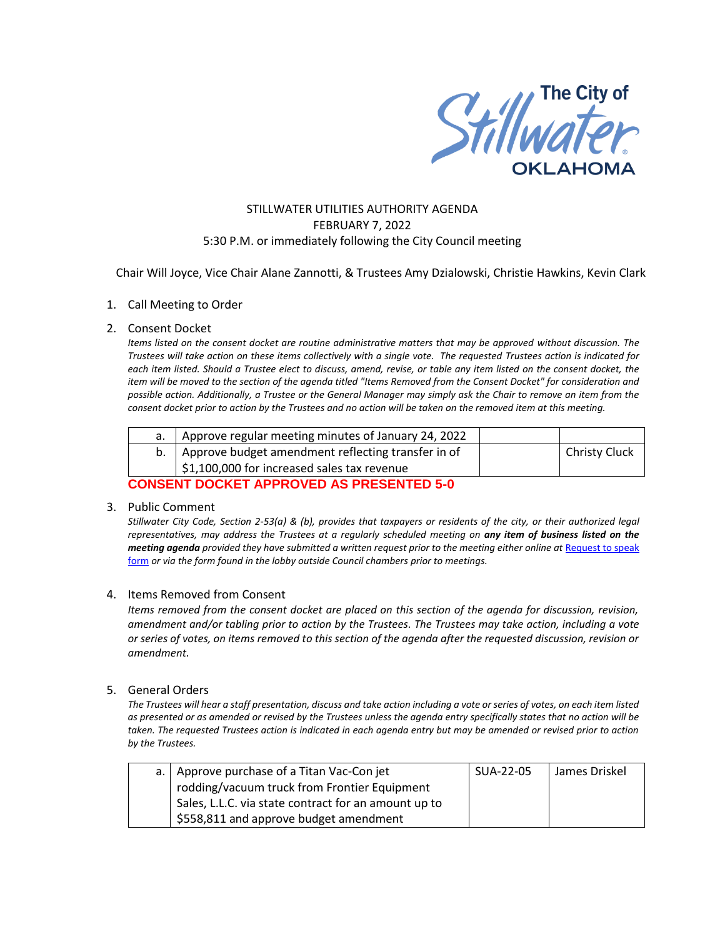

# STILLWATER UTILITIES AUTHORITY AGENDA FEBRUARY 7, 2022 5:30 P.M. or immediately following the City Council meeting

Chair Will Joyce, Vice Chair Alane Zannotti, & Trustees Amy Dzialowski, Christie Hawkins, Kevin Clark

## 1. Call Meeting to Order

#### 2. Consent Docket

*Items listed on the consent docket are routine administrative matters that may be approved without discussion. The Trustees will take action on these items collectively with a single vote. The requested Trustees action is indicated for each item listed. Should a Trustee elect to discuss, amend, revise, or table any item listed on the consent docket, the item will be moved to the section of the agenda titled "Items Removed from the Consent Docket" for consideration and possible action. Additionally, a Trustee or the General Manager may simply ask the Chair to remove an item from the consent docket prior to action by the Trustees and no action will be taken on the removed item at this meeting.*

|                                                         | Approve regular meeting minutes of January 24, 2022     |  |                      |  |  |
|---------------------------------------------------------|---------------------------------------------------------|--|----------------------|--|--|
|                                                         | b.   Approve budget amendment reflecting transfer in of |  | <b>Christy Cluck</b> |  |  |
|                                                         | \$1,100,000 for increased sales tax revenue             |  |                      |  |  |
| A A LIAMILIM N A AI/MM I NNN A LIMN I A NN NAMH MHN A A |                                                         |  |                      |  |  |

# **CONSENT DOCKET APPROVED AS PRESENTED 5-0**

#### 3. Public Comment

*Stillwater City Code, Section 2-53(a) & (b), provides that taxpayers or residents of the city, or their authorized legal representatives, may address the Trustees at a regularly scheduled meeting on any item of business listed on the meeting agenda provided they have submitted a written request prior to the meeting either online at Request to speak* [form](http://stillwater.org/page/home/government/mayor-city-council/meetings-agendas-minutes/online-request-to-speak-at-city-council) *or via the form found in the lobby outside Council chambers prior to meetings.*

## 4. Items Removed from Consent

*Items removed from the consent docket are placed on this section of the agenda for discussion, revision, amendment and/or tabling prior to action by the Trustees. The Trustees may take action, including a vote or series of votes, on items removed to this section of the agenda after the requested discussion, revision or amendment.* 

## 5. General Orders

*The Trustees will hear a staff presentation, discuss and take action including a vote or series of votes, on each item listed as presented or as amended or revised by the Trustees unless the agenda entry specifically states that no action will be taken. The requested Trustees action is indicated in each agenda entry but may be amended or revised prior to action by the Trustees.* 

| a.   Approve purchase of a Titan Vac-Con jet         | SUA-22-05 | l James Driskel |
|------------------------------------------------------|-----------|-----------------|
| rodding/vacuum truck from Frontier Equipment         |           |                 |
| Sales, L.L.C. via state contract for an amount up to |           |                 |
| \$558,811 and approve budget amendment               |           |                 |